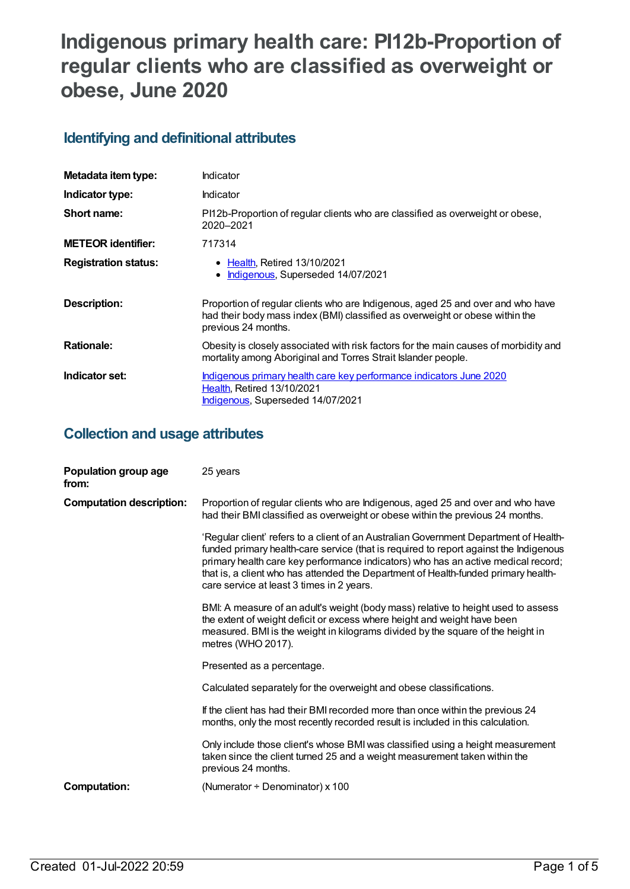# **Indigenous primary health care: PI12b-Proportion of regular clients who are classified as overweight or obese, June 2020**

### **Identifying and definitional attributes**

| Metadata item type:         | Indicator                                                                                                                                                                              |  |
|-----------------------------|----------------------------------------------------------------------------------------------------------------------------------------------------------------------------------------|--|
| Indicator type:             | Indicator                                                                                                                                                                              |  |
| Short name:                 | PI12b-Proportion of regular clients who are classified as overweight or obese,<br>2020-2021                                                                                            |  |
| <b>METEOR identifier:</b>   | 717314                                                                                                                                                                                 |  |
| <b>Registration status:</b> | • Health, Retired 13/10/2021<br>Indigenous, Superseded 14/07/2021<br>٠                                                                                                                 |  |
| <b>Description:</b>         | Proportion of regular clients who are Indigenous, aged 25 and over and who have<br>had their body mass index (BMI) classified as overweight or obese within the<br>previous 24 months. |  |
| <b>Rationale:</b>           | Obesity is closely associated with risk factors for the main causes of morbidity and<br>mortality among Aboriginal and Torres Strait Islander people.                                  |  |
| Indicator set:              | Indigenous primary health care key performance indicators June 2020<br><b>Health, Retired 13/10/2021</b><br>Indigenous, Superseded 14/07/2021                                          |  |

### **Collection and usage attributes**

| Population group age<br>from:   | 25 years                                                                                                                                                                                                                                                                                                                                                                                               |
|---------------------------------|--------------------------------------------------------------------------------------------------------------------------------------------------------------------------------------------------------------------------------------------------------------------------------------------------------------------------------------------------------------------------------------------------------|
| <b>Computation description:</b> | Proportion of regular clients who are Indigenous, aged 25 and over and who have<br>had their BMI classified as overweight or obese within the previous 24 months.                                                                                                                                                                                                                                      |
|                                 | 'Regular client' refers to a client of an Australian Government Department of Health-<br>funded primary health-care service (that is required to report against the Indigenous<br>primary health care key performance indicators) who has an active medical record;<br>that is, a client who has attended the Department of Health-funded primary health-<br>care service at least 3 times in 2 years. |
|                                 | BMI: A measure of an adult's weight (body mass) relative to height used to assess<br>the extent of weight deficit or excess where height and weight have been<br>measured. BMI is the weight in kilograms divided by the square of the height in<br>metres (WHO 2017).                                                                                                                                 |
|                                 | Presented as a percentage.                                                                                                                                                                                                                                                                                                                                                                             |
|                                 | Calculated separately for the overweight and obese classifications.                                                                                                                                                                                                                                                                                                                                    |
|                                 | If the client has had their BMI recorded more than once within the previous 24<br>months, only the most recently recorded result is included in this calculation.                                                                                                                                                                                                                                      |
|                                 | Only include those client's whose BMI was classified using a height measurement<br>taken since the client turned 25 and a weight measurement taken within the<br>previous 24 months.                                                                                                                                                                                                                   |
| <b>Computation:</b>             | (Numerator $\div$ Denominator) x 100                                                                                                                                                                                                                                                                                                                                                                   |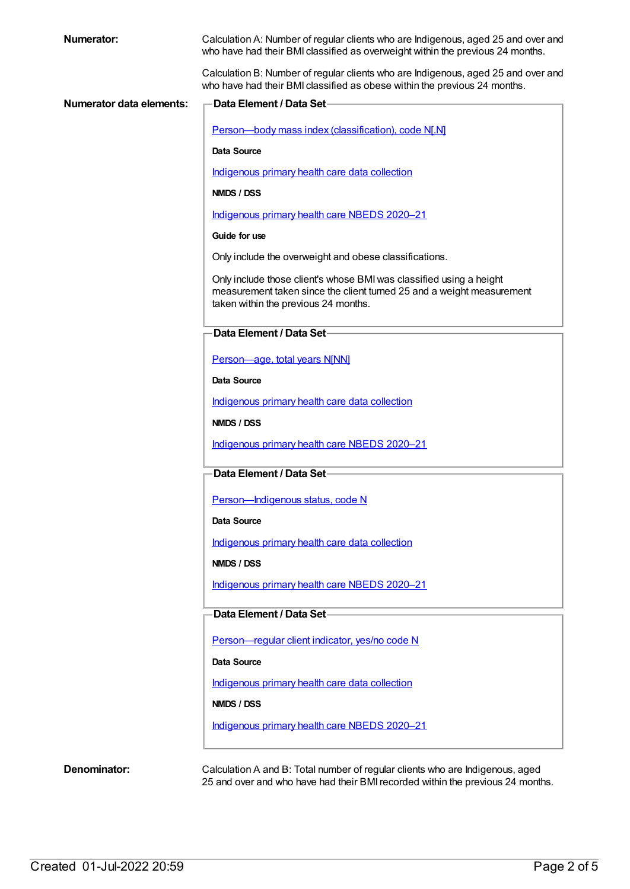| Numerator:                      | Calculation A: Number of regular clients who are Indigenous, aged 25 and over and<br>who have had their BMI classified as overweight within the previous 24 months.                  |
|---------------------------------|--------------------------------------------------------------------------------------------------------------------------------------------------------------------------------------|
|                                 | Calculation B: Number of regular clients who are Indigenous, aged 25 and over and<br>who have had their BMI classified as obese within the previous 24 months.                       |
| <b>Numerator data elements:</b> | <b>Data Element / Data Set-</b>                                                                                                                                                      |
|                                 | Person-body mass index (classification), code N[.N]                                                                                                                                  |
|                                 | Data Source                                                                                                                                                                          |
|                                 | Indigenous primary health care data collection                                                                                                                                       |
|                                 | NMDS / DSS                                                                                                                                                                           |
|                                 | Indigenous primary health care NBEDS 2020-21                                                                                                                                         |
|                                 | Guide for use                                                                                                                                                                        |
|                                 | Only include the overweight and obese classifications.                                                                                                                               |
|                                 | Only include those client's whose BMI was classified using a height<br>measurement taken since the client turned 25 and a weight measurement<br>taken within the previous 24 months. |
|                                 | Data Element / Data Set-                                                                                                                                                             |
|                                 | Person-age, total years N[NN]                                                                                                                                                        |
|                                 | <b>Data Source</b>                                                                                                                                                                   |
|                                 | Indigenous primary health care data collection                                                                                                                                       |
|                                 | NMDS / DSS                                                                                                                                                                           |
|                                 | Indigenous primary health care NBEDS 2020-21                                                                                                                                         |
|                                 | Data Element / Data Set-                                                                                                                                                             |
|                                 | Person-Indigenous status, code N                                                                                                                                                     |
|                                 | Data Source                                                                                                                                                                          |
|                                 | Indigenous primary health care data collection                                                                                                                                       |
|                                 | NMDS / DSS                                                                                                                                                                           |
|                                 | Indigenous primary health care NBEDS 2020-21                                                                                                                                         |
|                                 | Data Element / Data Set-                                                                                                                                                             |
|                                 | Person-regular client indicator, yes/no code N                                                                                                                                       |
|                                 | Data Source                                                                                                                                                                          |
|                                 | Indigenous primary health care data collection                                                                                                                                       |
|                                 | NMDS / DSS                                                                                                                                                                           |
|                                 | Indigenous primary health care NBEDS 2020-21                                                                                                                                         |
| Denominator:                    | Calculation A and B: Total number of regular clients who are Indigenous, aged                                                                                                        |

25 and over and who have had their BMIrecorded within the previous 24 months.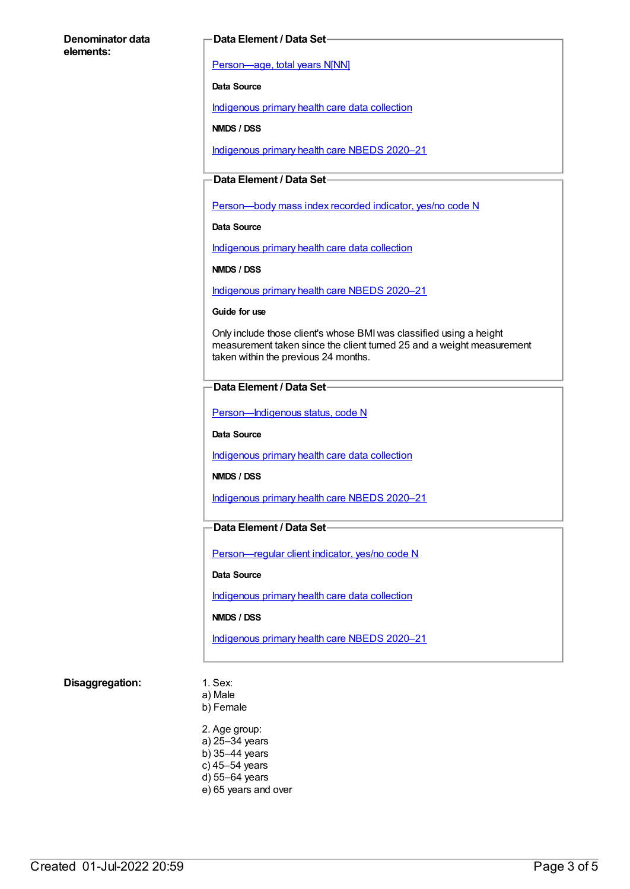#### **Denominator data elements:**

#### **Data Element / Data Set**

[Person—age,](https://meteor.aihw.gov.au/content/303794) total years N[NN]

**Data Source**

[Indigenous](https://meteor.aihw.gov.au/content/430643) primary health care data collection

**NMDS / DSS**

[Indigenous](https://meteor.aihw.gov.au/content/715320) primary health care NBEDS 2020–21

#### **Data Element / Data Set**

Person-body mass index recorded indicator, yes/no code N

**Data Source**

[Indigenous](https://meteor.aihw.gov.au/content/430643) primary health care data collection

**NMDS / DSS**

[Indigenous](https://meteor.aihw.gov.au/content/715320) primary health care NBEDS 2020–21

**Guide for use**

Only include those client's whose BMIwas classified using a height measurement taken since the client turned 25 and a weight measurement taken within the previous 24 months.

#### **Data Element / Data Set**

[Person—Indigenous](https://meteor.aihw.gov.au/content/602543) status, code N

**Data Source**

[Indigenous](https://meteor.aihw.gov.au/content/430643) primary health care data collection

**NMDS / DSS**

[Indigenous](https://meteor.aihw.gov.au/content/715320) primary health care NBEDS 2020–21

#### **Data Element / Data Set**

[Person—regular](https://meteor.aihw.gov.au/content/686291) client indicator, yes/no code N

**Data Source**

[Indigenous](https://meteor.aihw.gov.au/content/430643) primary health care data collection

**NMDS / DSS**

[Indigenous](https://meteor.aihw.gov.au/content/715320) primary health care NBEDS 2020–21

#### **Disaggregation:** 1. Sex:

a) Male

b) Female

2. Age group: a) 25–34 years b) 35–44 years c) 45–54 years d) 55–64 years e) 65 years and over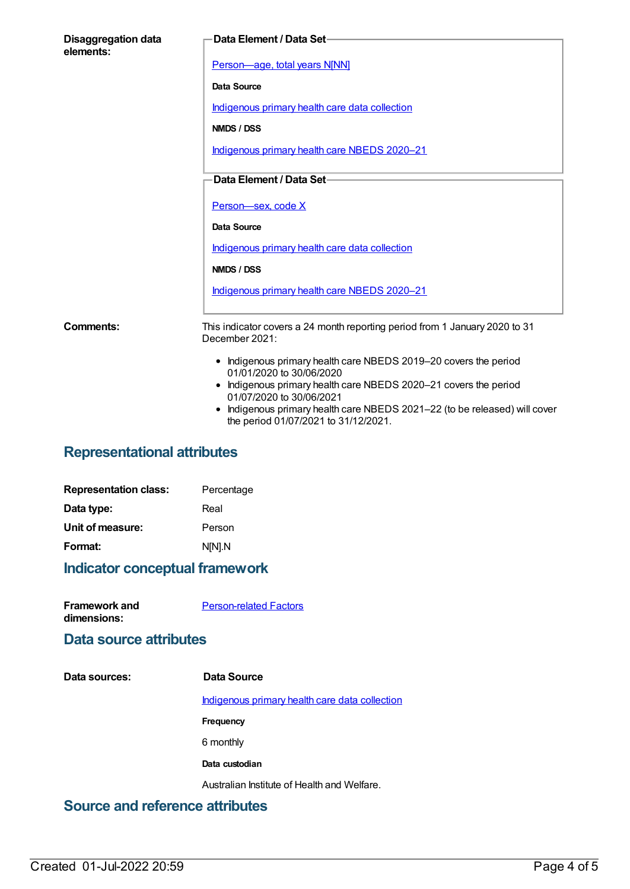| <b>Disaggregation data</b><br>elements: | Data Element / Data Set-                                                                                                                                                                                                                                                                                         |
|-----------------------------------------|------------------------------------------------------------------------------------------------------------------------------------------------------------------------------------------------------------------------------------------------------------------------------------------------------------------|
|                                         | Person-age, total years N[NN]                                                                                                                                                                                                                                                                                    |
|                                         | Data Source                                                                                                                                                                                                                                                                                                      |
|                                         | Indigenous primary health care data collection                                                                                                                                                                                                                                                                   |
|                                         | NMDS / DSS                                                                                                                                                                                                                                                                                                       |
|                                         | Indigenous primary health care NBEDS 2020-21                                                                                                                                                                                                                                                                     |
|                                         | Data Element / Data Set-                                                                                                                                                                                                                                                                                         |
|                                         | Person-sex, code X                                                                                                                                                                                                                                                                                               |
|                                         | Data Source                                                                                                                                                                                                                                                                                                      |
|                                         | Indigenous primary health care data collection                                                                                                                                                                                                                                                                   |
|                                         | NMDS / DSS                                                                                                                                                                                                                                                                                                       |
|                                         | Indigenous primary health care NBEDS 2020-21                                                                                                                                                                                                                                                                     |
| <b>Comments:</b>                        | This indicator covers a 24 month reporting period from 1 January 2020 to 31<br>December 2021:                                                                                                                                                                                                                    |
|                                         | • Indigenous primary health care NBEDS 2019-20 covers the period<br>01/01/2020 to 30/06/2020<br>• Indigenous primary health care NBEDS 2020-21 covers the period<br>01/07/2020 to 30/06/2021<br>Indigenous primary health care NBEDS 2021-22 (to be released) will cover<br>the period 01/07/2021 to 31/12/2021. |

## **Representational attributes**

| <b>Representation class:</b> | Percentage |
|------------------------------|------------|
| Data type:                   | Real       |
| Unit of measure:             | Person     |
| Format:                      | N[N].N     |
|                              |            |

# **Indicator conceptual framework**

| <b>Framework and</b> | <b>Person-related Factors</b> |
|----------------------|-------------------------------|
| dimensions:          |                               |

### **Data source attributes**

| Data sources: | Data Source                                    |
|---------------|------------------------------------------------|
|               | Indigenous primary health care data collection |
|               | Frequency                                      |
|               | 6 monthly                                      |
|               | Data custodian                                 |
|               | Australian Institute of Health and Welfare.    |
|               |                                                |

### **Source and reference attributes**